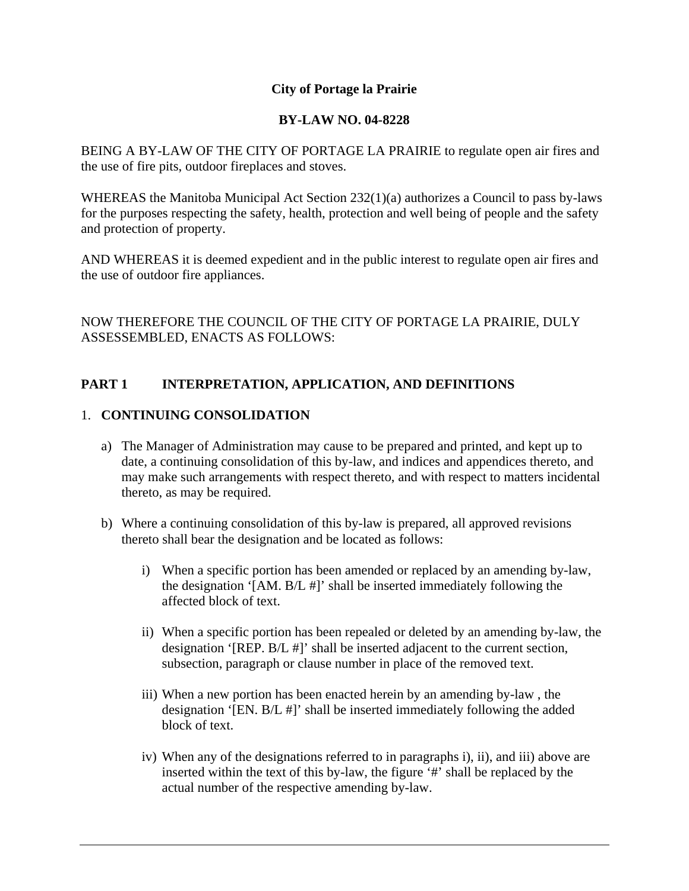# **City of Portage la Prairie**

# **BY-LAW NO. 04-8228**

BEING A BY-LAW OF THE CITY OF PORTAGE LA PRAIRIE to regulate open air fires and the use of fire pits, outdoor fireplaces and stoves.

WHEREAS the Manitoba Municipal Act Section 232(1)(a) authorizes a Council to pass by-laws for the purposes respecting the safety, health, protection and well being of people and the safety and protection of property.

AND WHEREAS it is deemed expedient and in the public interest to regulate open air fires and the use of outdoor fire appliances.

NOW THEREFORE THE COUNCIL OF THE CITY OF PORTAGE LA PRAIRIE, DULY ASSESSEMBLED, ENACTS AS FOLLOWS:

# **PART 1 INTERPRETATION, APPLICATION, AND DEFINITIONS**

# 1. **CONTINUING CONSOLIDATION**

- a) The Manager of Administration may cause to be prepared and printed, and kept up to date, a continuing consolidation of this by-law, and indices and appendices thereto, and may make such arrangements with respect thereto, and with respect to matters incidental thereto, as may be required.
- b) Where a continuing consolidation of this by-law is prepared, all approved revisions thereto shall bear the designation and be located as follows:
	- i) When a specific portion has been amended or replaced by an amending by-law, the designation '[AM. B/L #]' shall be inserted immediately following the affected block of text.
	- ii) When a specific portion has been repealed or deleted by an amending by-law, the designation '[REP. B/L #]' shall be inserted adjacent to the current section, subsection, paragraph or clause number in place of the removed text.
	- iii) When a new portion has been enacted herein by an amending by-law , the designation '[EN. B/L #]' shall be inserted immediately following the added block of text.
	- iv) When any of the designations referred to in paragraphs i), ii), and iii) above are inserted within the text of this by-law, the figure '#' shall be replaced by the actual number of the respective amending by-law.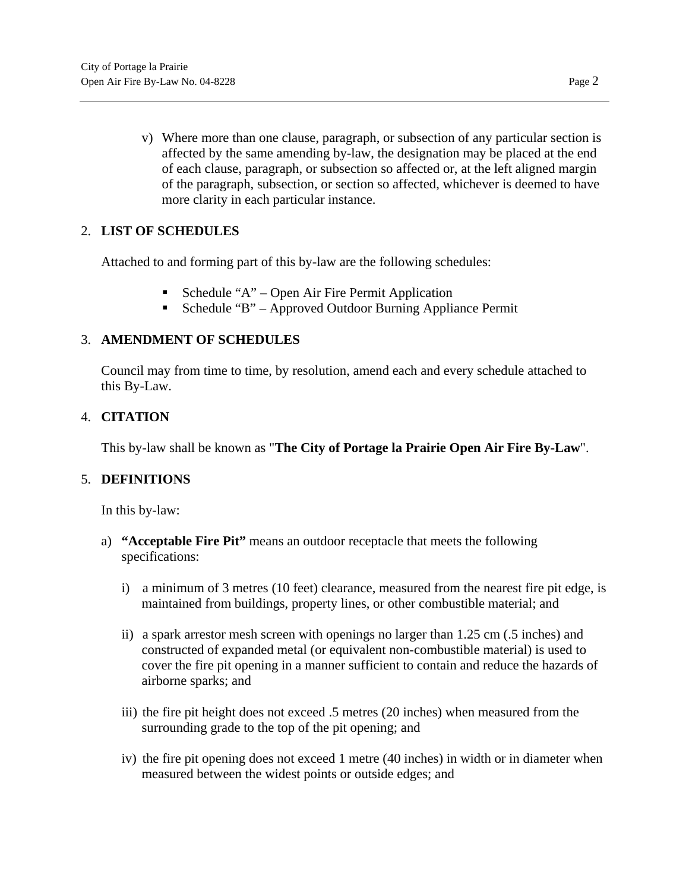v) Where more than one clause, paragraph, or subsection of any particular section is affected by the same amending by-law, the designation may be placed at the end of each clause, paragraph, or subsection so affected or, at the left aligned margin of the paragraph, subsection, or section so affected, whichever is deemed to have more clarity in each particular instance.

# 2. **LIST OF SCHEDULES**

Attached to and forming part of this by-law are the following schedules:

- Schedule "A" Open Air Fire Permit Application
- Schedule "B" Approved Outdoor Burning Appliance Permit

# 3. **AMENDMENT OF SCHEDULES**

Council may from time to time, by resolution, amend each and every schedule attached to this By-Law.

# 4. **CITATION**

This by-law shall be known as "**The City of Portage la Prairie Open Air Fire By-Law**".

# 5. **DEFINITIONS**

In this by-law:

- a) **"Acceptable Fire Pit"** means an outdoor receptacle that meets the following specifications:
	- i) a minimum of 3 metres (10 feet) clearance, measured from the nearest fire pit edge, is maintained from buildings, property lines, or other combustible material; and
	- ii) a spark arrestor mesh screen with openings no larger than 1.25 cm (.5 inches) and constructed of expanded metal (or equivalent non-combustible material) is used to cover the fire pit opening in a manner sufficient to contain and reduce the hazards of airborne sparks; and
	- iii) the fire pit height does not exceed .5 metres (20 inches) when measured from the surrounding grade to the top of the pit opening; and
	- iv) the fire pit opening does not exceed 1 metre (40 inches) in width or in diameter when measured between the widest points or outside edges; and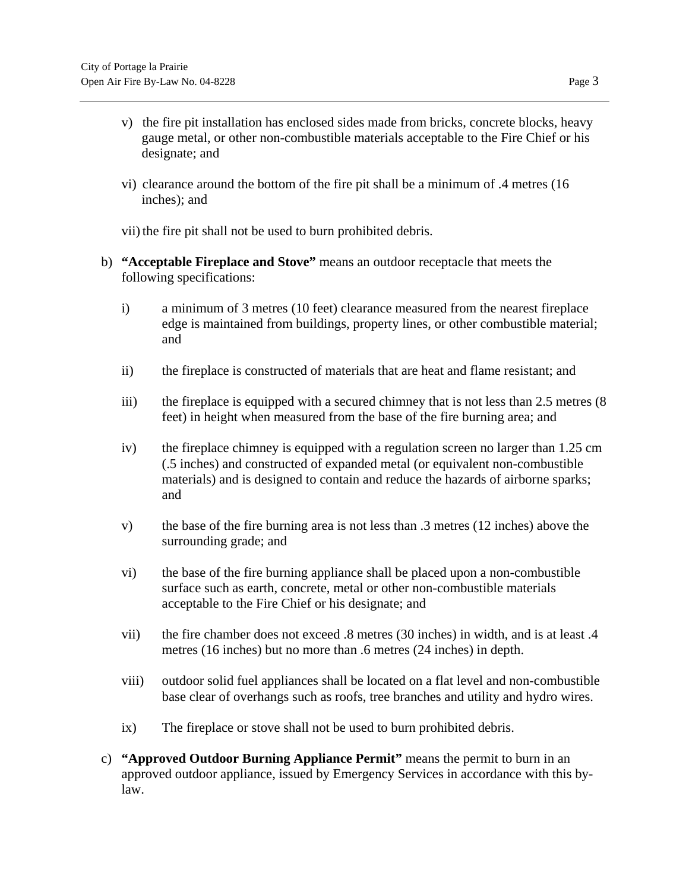- v) the fire pit installation has enclosed sides made from bricks, concrete blocks, heavy gauge metal, or other non-combustible materials acceptable to the Fire Chief or his designate; and
- vi) clearance around the bottom of the fire pit shall be a minimum of .4 metres (16 inches); and
- vii) the fire pit shall not be used to burn prohibited debris.
- b) **"Acceptable Fireplace and Stove"** means an outdoor receptacle that meets the following specifications:
	- i) a minimum of 3 metres (10 feet) clearance measured from the nearest fireplace edge is maintained from buildings, property lines, or other combustible material; and
	- ii) the fireplace is constructed of materials that are heat and flame resistant; and
	- iii) the fireplace is equipped with a secured chimney that is not less than 2.5 metres (8) feet) in height when measured from the base of the fire burning area; and
	- iv) the fireplace chimney is equipped with a regulation screen no larger than 1.25 cm (.5 inches) and constructed of expanded metal (or equivalent non-combustible materials) and is designed to contain and reduce the hazards of airborne sparks; and
	- v) the base of the fire burning area is not less than .3 metres (12 inches) above the surrounding grade; and
	- vi) the base of the fire burning appliance shall be placed upon a non-combustible surface such as earth, concrete, metal or other non-combustible materials acceptable to the Fire Chief or his designate; and
	- vii) the fire chamber does not exceed .8 metres (30 inches) in width, and is at least .4 metres (16 inches) but no more than .6 metres (24 inches) in depth.
	- viii) outdoor solid fuel appliances shall be located on a flat level and non-combustible base clear of overhangs such as roofs, tree branches and utility and hydro wires.
	- ix) The fireplace or stove shall not be used to burn prohibited debris.
- c) **"Approved Outdoor Burning Appliance Permit"** means the permit to burn in an approved outdoor appliance, issued by Emergency Services in accordance with this bylaw.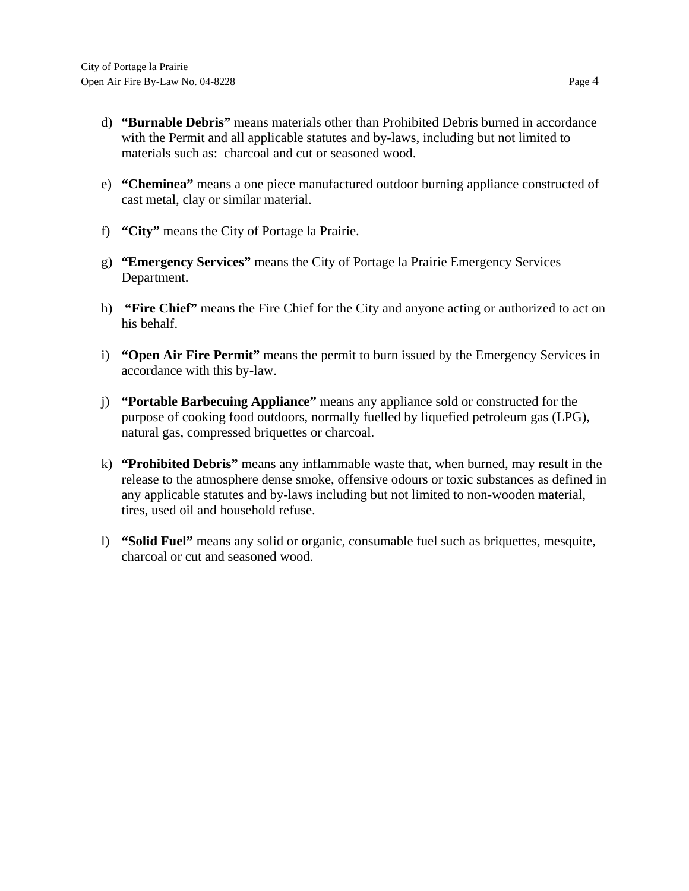- d) **"Burnable Debris"** means materials other than Prohibited Debris burned in accordance with the Permit and all applicable statutes and by-laws, including but not limited to materials such as: charcoal and cut or seasoned wood.
- e) **"Cheminea"** means a one piece manufactured outdoor burning appliance constructed of cast metal, clay or similar material.
- f) **"City"** means the City of Portage la Prairie.
- g) **"Emergency Services"** means the City of Portage la Prairie Emergency Services Department.
- h) **"Fire Chief"** means the Fire Chief for the City and anyone acting or authorized to act on his behalf.
- i) **"Open Air Fire Permit"** means the permit to burn issued by the Emergency Services in accordance with this by-law.
- j) **"Portable Barbecuing Appliance"** means any appliance sold or constructed for the purpose of cooking food outdoors, normally fuelled by liquefied petroleum gas (LPG), natural gas, compressed briquettes or charcoal.
- k) **"Prohibited Debris"** means any inflammable waste that, when burned, may result in the release to the atmosphere dense smoke, offensive odours or toxic substances as defined in any applicable statutes and by-laws including but not limited to non-wooden material, tires, used oil and household refuse.
- l) **"Solid Fuel"** means any solid or organic, consumable fuel such as briquettes, mesquite, charcoal or cut and seasoned wood.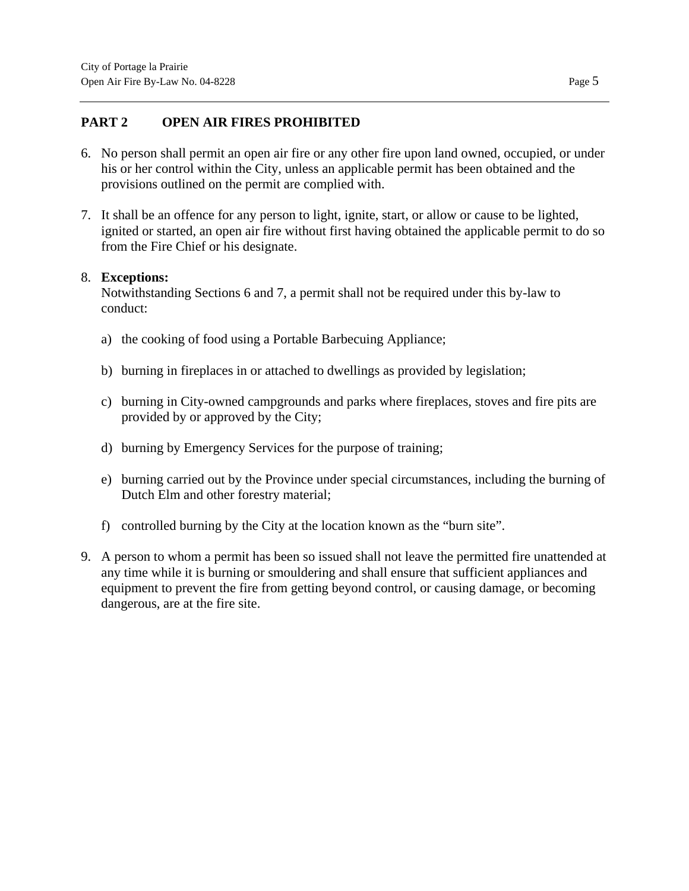## **PART 2 OPEN AIR FIRES PROHIBITED**

- 6. No person shall permit an open air fire or any other fire upon land owned, occupied, or under his or her control within the City, unless an applicable permit has been obtained and the provisions outlined on the permit are complied with.
- 7. It shall be an offence for any person to light, ignite, start, or allow or cause to be lighted, ignited or started, an open air fire without first having obtained the applicable permit to do so from the Fire Chief or his designate.

#### 8. **Exceptions:**

Notwithstanding Sections 6 and 7, a permit shall not be required under this by-law to conduct:

- a) the cooking of food using a Portable Barbecuing Appliance;
- b) burning in fireplaces in or attached to dwellings as provided by legislation;
- c) burning in City-owned campgrounds and parks where fireplaces, stoves and fire pits are provided by or approved by the City;
- d) burning by Emergency Services for the purpose of training;
- e) burning carried out by the Province under special circumstances, including the burning of Dutch Elm and other forestry material;
- f) controlled burning by the City at the location known as the "burn site".
- 9. A person to whom a permit has been so issued shall not leave the permitted fire unattended at any time while it is burning or smouldering and shall ensure that sufficient appliances and equipment to prevent the fire from getting beyond control, or causing damage, or becoming dangerous, are at the fire site.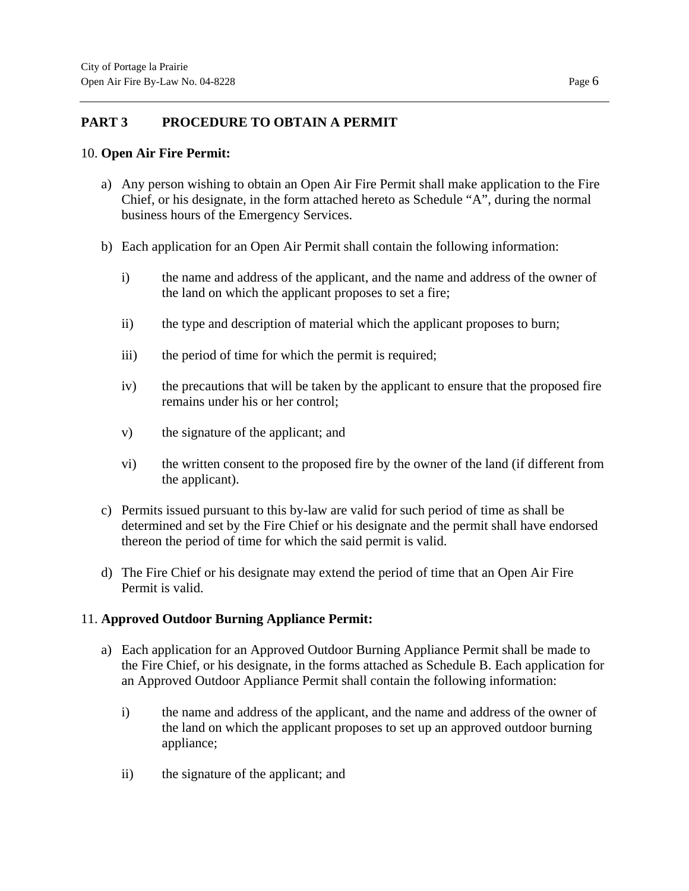## **PART 3 PROCEDURE TO OBTAIN A PERMIT**

#### 10. **Open Air Fire Permit:**

- a) Any person wishing to obtain an Open Air Fire Permit shall make application to the Fire Chief, or his designate, in the form attached hereto as Schedule "A", during the normal business hours of the Emergency Services.
- b) Each application for an Open Air Permit shall contain the following information:
	- i) the name and address of the applicant, and the name and address of the owner of the land on which the applicant proposes to set a fire;
	- ii) the type and description of material which the applicant proposes to burn;
	- iii) the period of time for which the permit is required;
	- iv) the precautions that will be taken by the applicant to ensure that the proposed fire remains under his or her control;
	- v) the signature of the applicant; and
	- vi) the written consent to the proposed fire by the owner of the land (if different from the applicant).
- c) Permits issued pursuant to this by-law are valid for such period of time as shall be determined and set by the Fire Chief or his designate and the permit shall have endorsed thereon the period of time for which the said permit is valid.
- d) The Fire Chief or his designate may extend the period of time that an Open Air Fire Permit is valid.

# 11. **Approved Outdoor Burning Appliance Permit:**

- a) Each application for an Approved Outdoor Burning Appliance Permit shall be made to the Fire Chief, or his designate, in the forms attached as Schedule B. Each application for an Approved Outdoor Appliance Permit shall contain the following information:
	- i) the name and address of the applicant, and the name and address of the owner of the land on which the applicant proposes to set up an approved outdoor burning appliance;
	- ii) the signature of the applicant; and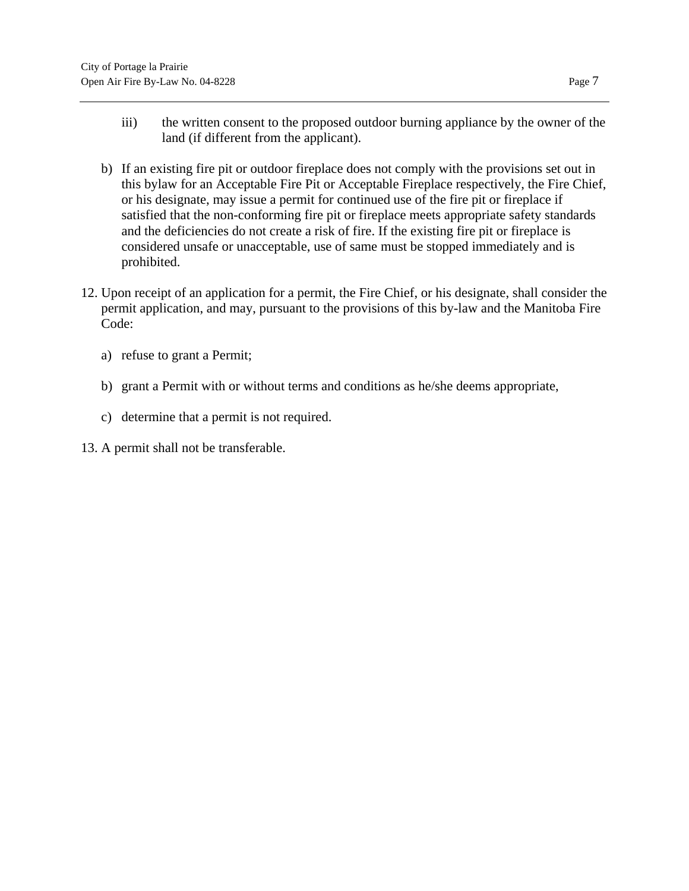- iii) the written consent to the proposed outdoor burning appliance by the owner of the land (if different from the applicant).
- b) If an existing fire pit or outdoor fireplace does not comply with the provisions set out in this bylaw for an Acceptable Fire Pit or Acceptable Fireplace respectively, the Fire Chief, or his designate, may issue a permit for continued use of the fire pit or fireplace if satisfied that the non-conforming fire pit or fireplace meets appropriate safety standards and the deficiencies do not create a risk of fire. If the existing fire pit or fireplace is considered unsafe or unacceptable, use of same must be stopped immediately and is prohibited.
- 12. Upon receipt of an application for a permit, the Fire Chief, or his designate, shall consider the permit application, and may, pursuant to the provisions of this by-law and the Manitoba Fire Code:
	- a) refuse to grant a Permit;
	- b) grant a Permit with or without terms and conditions as he/she deems appropriate,
	- c) determine that a permit is not required.
- 13. A permit shall not be transferable.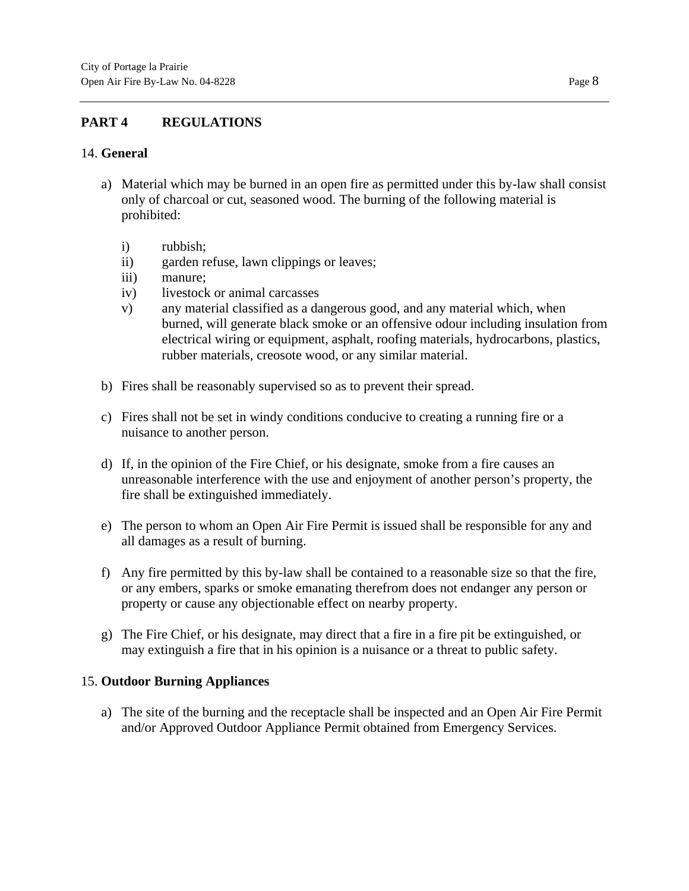# **PART 4 REGULATIONS**

#### 14. **General**

- a) Material which may be burned in an open fire as permitted under this by-law shall consist only of charcoal or cut, seasoned wood. The burning of the following material is prohibited:
	- i) rubbish;
	- ii) garden refuse, lawn clippings or leaves;
	- iii) manure;
	- iv) livestock or animal carcasses
	- v) any material classified as a dangerous good, and any material which, when burned, will generate black smoke or an offensive odour including insulation from electrical wiring or equipment, asphalt, roofing materials, hydrocarbons, plastics, rubber materials, creosote wood, or any similar material.
- b) Fires shall be reasonably supervised so as to prevent their spread.
- c) Fires shall not be set in windy conditions conducive to creating a running fire or a nuisance to another person.
- d) If, in the opinion of the Fire Chief, or his designate, smoke from a fire causes an unreasonable interference with the use and enjoyment of another person's property, the fire shall be extinguished immediately.
- e) The person to whom an Open Air Fire Permit is issued shall be responsible for any and all damages as a result of burning.
- f) Any fire permitted by this by-law shall be contained to a reasonable size so that the fire, or any embers, sparks or smoke emanating therefrom does not endanger any person or property or cause any objectionable effect on nearby property.
- g) The Fire Chief, or his designate, may direct that a fire in a fire pit be extinguished, or may extinguish a fire that in his opinion is a nuisance or a threat to public safety.

# 15. **Outdoor Burning Appliances**

a) The site of the burning and the receptacle shall be inspected and an Open Air Fire Permit and/or Approved Outdoor Appliance Permit obtained from Emergency Services.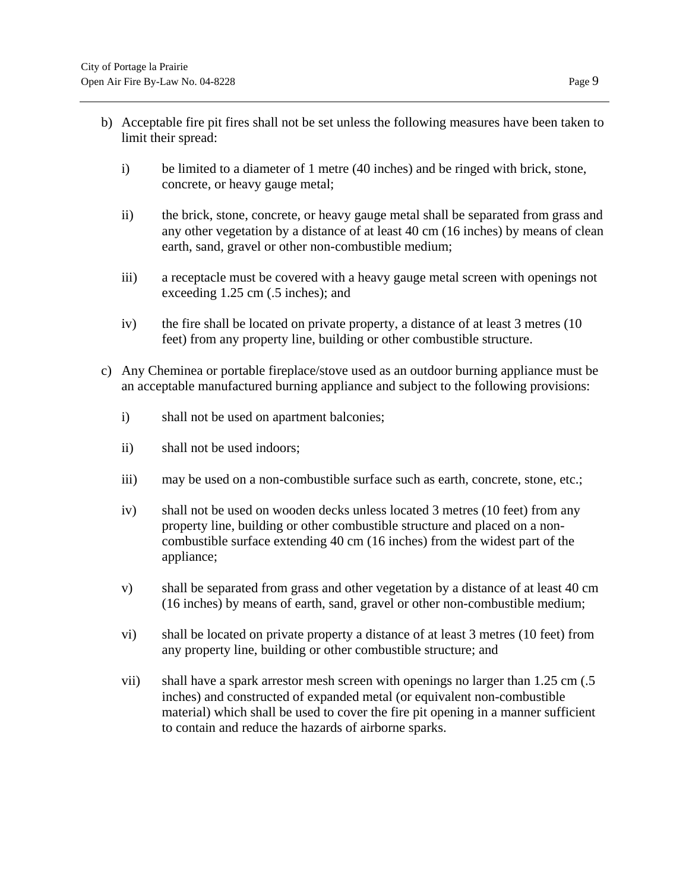- b) Acceptable fire pit fires shall not be set unless the following measures have been taken to limit their spread:
	- i) be limited to a diameter of 1 metre (40 inches) and be ringed with brick, stone, concrete, or heavy gauge metal;
	- ii) the brick, stone, concrete, or heavy gauge metal shall be separated from grass and any other vegetation by a distance of at least 40 cm (16 inches) by means of clean earth, sand, gravel or other non-combustible medium;
	- iii) a receptacle must be covered with a heavy gauge metal screen with openings not exceeding 1.25 cm (.5 inches); and
	- iv) the fire shall be located on private property, a distance of at least 3 metres (10 feet) from any property line, building or other combustible structure.
- c) Any Cheminea or portable fireplace/stove used as an outdoor burning appliance must be an acceptable manufactured burning appliance and subject to the following provisions:
	- i) shall not be used on apartment balconies;
	- ii) shall not be used indoors;
	- iii) may be used on a non-combustible surface such as earth, concrete, stone, etc.;
	- iv) shall not be used on wooden decks unless located 3 metres (10 feet) from any property line, building or other combustible structure and placed on a noncombustible surface extending 40 cm (16 inches) from the widest part of the appliance;
	- v) shall be separated from grass and other vegetation by a distance of at least 40 cm (16 inches) by means of earth, sand, gravel or other non-combustible medium;
	- vi) shall be located on private property a distance of at least 3 metres (10 feet) from any property line, building or other combustible structure; and
	- vii) shall have a spark arrestor mesh screen with openings no larger than 1.25 cm (.5) inches) and constructed of expanded metal (or equivalent non-combustible material) which shall be used to cover the fire pit opening in a manner sufficient to contain and reduce the hazards of airborne sparks.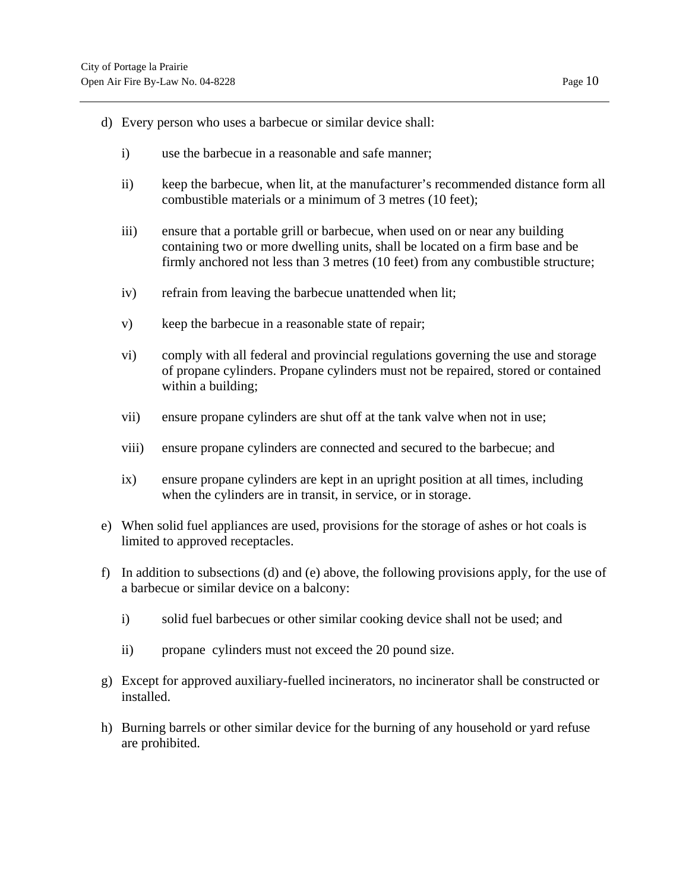- d) Every person who uses a barbecue or similar device shall:
	- i) use the barbecue in a reasonable and safe manner;
	- ii) keep the barbecue, when lit, at the manufacturer's recommended distance form all combustible materials or a minimum of 3 metres (10 feet);
	- iii) ensure that a portable grill or barbecue, when used on or near any building containing two or more dwelling units, shall be located on a firm base and be firmly anchored not less than 3 metres (10 feet) from any combustible structure;
	- iv) refrain from leaving the barbecue unattended when lit;
	- v) keep the barbecue in a reasonable state of repair;
	- vi) comply with all federal and provincial regulations governing the use and storage of propane cylinders. Propane cylinders must not be repaired, stored or contained within a building;
	- vii) ensure propane cylinders are shut off at the tank valve when not in use;
	- viii) ensure propane cylinders are connected and secured to the barbecue; and
	- ix) ensure propane cylinders are kept in an upright position at all times, including when the cylinders are in transit, in service, or in storage.
- e) When solid fuel appliances are used, provisions for the storage of ashes or hot coals is limited to approved receptacles.
- f) In addition to subsections (d) and (e) above, the following provisions apply, for the use of a barbecue or similar device on a balcony:
	- i) solid fuel barbecues or other similar cooking device shall not be used; and
	- ii) propane cylinders must not exceed the 20 pound size.
- g) Except for approved auxiliary-fuelled incinerators, no incinerator shall be constructed or installed.
- h) Burning barrels or other similar device for the burning of any household or yard refuse are prohibited.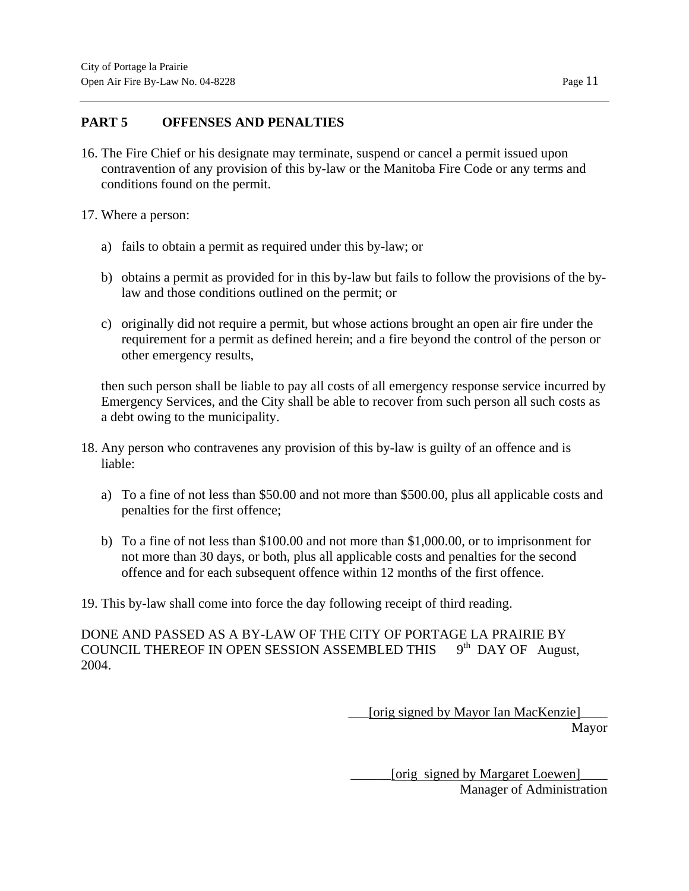## **PART 5 OFFENSES AND PENALTIES**

- 16. The Fire Chief or his designate may terminate, suspend or cancel a permit issued upon contravention of any provision of this by-law or the Manitoba Fire Code or any terms and conditions found on the permit.
- 17. Where a person:
	- a) fails to obtain a permit as required under this by-law; or
	- b) obtains a permit as provided for in this by-law but fails to follow the provisions of the bylaw and those conditions outlined on the permit; or
	- c) originally did not require a permit, but whose actions brought an open air fire under the requirement for a permit as defined herein; and a fire beyond the control of the person or other emergency results,

then such person shall be liable to pay all costs of all emergency response service incurred by Emergency Services, and the City shall be able to recover from such person all such costs as a debt owing to the municipality.

- 18. Any person who contravenes any provision of this by-law is guilty of an offence and is liable:
	- a) To a fine of not less than \$50.00 and not more than \$500.00, plus all applicable costs and penalties for the first offence;
	- b) To a fine of not less than \$100.00 and not more than \$1,000.00, or to imprisonment for not more than 30 days, or both, plus all applicable costs and penalties for the second offence and for each subsequent offence within 12 months of the first offence.

19. This by-law shall come into force the day following receipt of third reading.

DONE AND PASSED AS A BY-LAW OF THE CITY OF PORTAGE LA PRAIRIE BY COUNCIL THEREOF IN OPEN SESSION ASSEMBLED THIS  $9<sup>th</sup>$  DAY OF August, 2004.

> [orig signed by Mayor Ian MacKenzie] Mayor

> > [orig signed by Margaret Loewen] Manager of Administration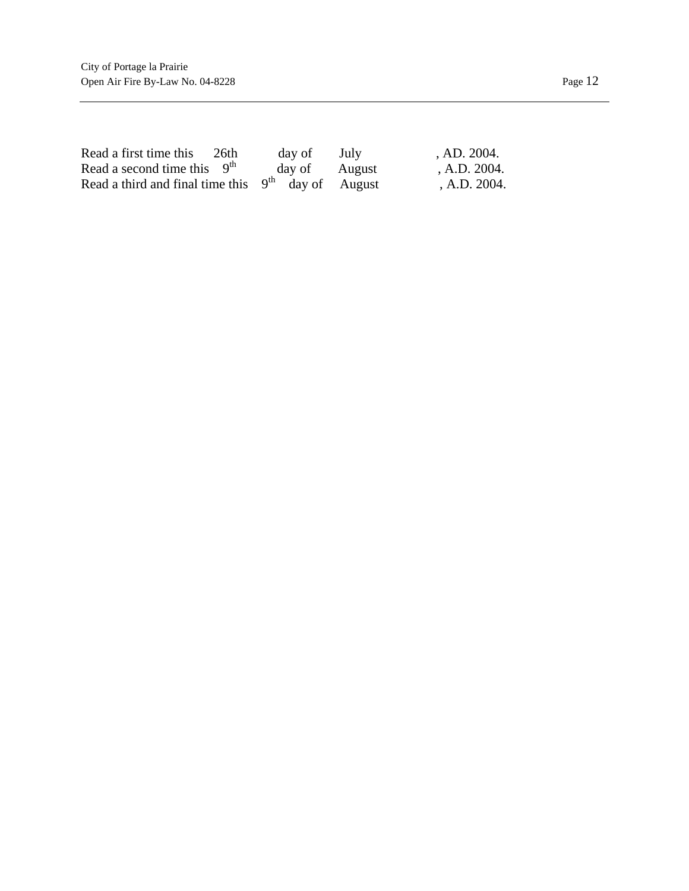| Read a first time this 26th                          | day of        | July | AD. 2004.       |
|------------------------------------------------------|---------------|------|-----------------|
| Read a second time this $9th$                        | day of August |      | , A.D. $2004$ . |
| Read a third and final time this $9th$ day of August |               |      | , A.D. $2004$ . |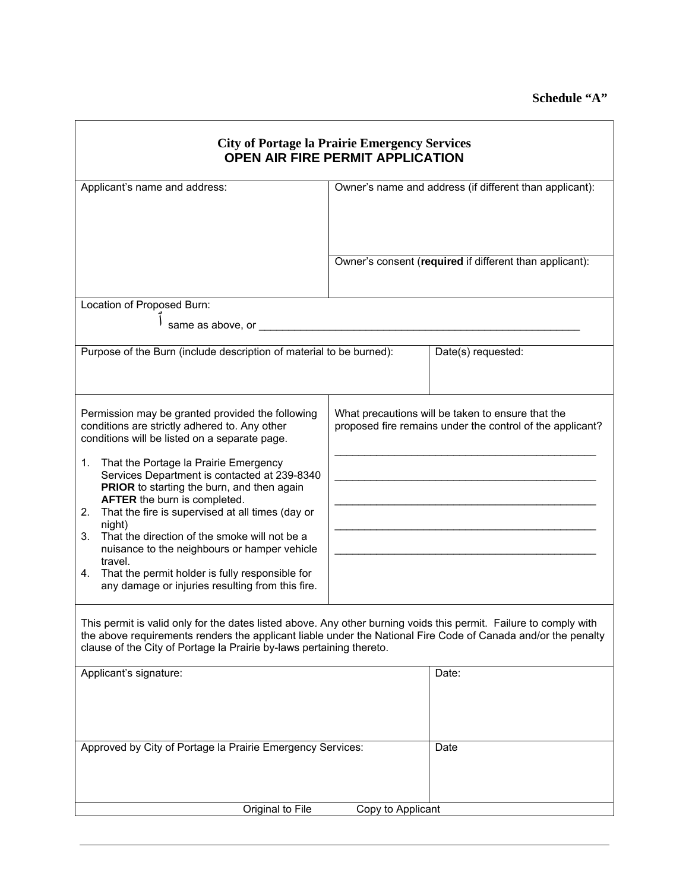## **Schedule "A"**

| <b>City of Portage la Prairie Emergency Services</b><br><b>OPEN AIR FIRE PERMIT APPLICATION</b>                                                                                                                                                                                                                                                                                                                                                                                                                                                                                                                                                                                                                                                                                                                                                                                                                                                  |                                                         |                                                                                                                |  |  |  |  |  |  |  |  |
|--------------------------------------------------------------------------------------------------------------------------------------------------------------------------------------------------------------------------------------------------------------------------------------------------------------------------------------------------------------------------------------------------------------------------------------------------------------------------------------------------------------------------------------------------------------------------------------------------------------------------------------------------------------------------------------------------------------------------------------------------------------------------------------------------------------------------------------------------------------------------------------------------------------------------------------------------|---------------------------------------------------------|----------------------------------------------------------------------------------------------------------------|--|--|--|--|--|--|--|--|
| Applicant's name and address:                                                                                                                                                                                                                                                                                                                                                                                                                                                                                                                                                                                                                                                                                                                                                                                                                                                                                                                    |                                                         | Owner's name and address (if different than applicant):                                                        |  |  |  |  |  |  |  |  |
|                                                                                                                                                                                                                                                                                                                                                                                                                                                                                                                                                                                                                                                                                                                                                                                                                                                                                                                                                  | Owner's consent (required if different than applicant): |                                                                                                                |  |  |  |  |  |  |  |  |
| Location of Proposed Burn:                                                                                                                                                                                                                                                                                                                                                                                                                                                                                                                                                                                                                                                                                                                                                                                                                                                                                                                       |                                                         |                                                                                                                |  |  |  |  |  |  |  |  |
| same as above, or                                                                                                                                                                                                                                                                                                                                                                                                                                                                                                                                                                                                                                                                                                                                                                                                                                                                                                                                |                                                         |                                                                                                                |  |  |  |  |  |  |  |  |
| Purpose of the Burn (include description of material to be burned):                                                                                                                                                                                                                                                                                                                                                                                                                                                                                                                                                                                                                                                                                                                                                                                                                                                                              |                                                         | Date(s) requested:                                                                                             |  |  |  |  |  |  |  |  |
| Permission may be granted provided the following<br>conditions are strictly adhered to. Any other<br>conditions will be listed on a separate page.<br>That the Portage la Prairie Emergency<br>1.<br>Services Department is contacted at 239-8340<br>PRIOR to starting the burn, and then again<br>AFTER the burn is completed.<br>That the fire is supervised at all times (day or<br>2.<br>night)<br>That the direction of the smoke will not be a<br>3.<br>nuisance to the neighbours or hamper vehicle<br>travel.<br>That the permit holder is fully responsible for<br>4.<br>any damage or injuries resulting from this fire.<br>This permit is valid only for the dates listed above. Any other burning voids this permit. Failure to comply with<br>the above requirements renders the applicant liable under the National Fire Code of Canada and/or the penalty<br>clause of the City of Portage la Prairie by-laws pertaining thereto. |                                                         | What precautions will be taken to ensure that the<br>proposed fire remains under the control of the applicant? |  |  |  |  |  |  |  |  |
| Applicant's signature:                                                                                                                                                                                                                                                                                                                                                                                                                                                                                                                                                                                                                                                                                                                                                                                                                                                                                                                           | Date:                                                   |                                                                                                                |  |  |  |  |  |  |  |  |
| Approved by City of Portage la Prairie Emergency Services:                                                                                                                                                                                                                                                                                                                                                                                                                                                                                                                                                                                                                                                                                                                                                                                                                                                                                       | Date                                                    |                                                                                                                |  |  |  |  |  |  |  |  |
|                                                                                                                                                                                                                                                                                                                                                                                                                                                                                                                                                                                                                                                                                                                                                                                                                                                                                                                                                  |                                                         |                                                                                                                |  |  |  |  |  |  |  |  |
| Original to File<br>Copy to Applicant                                                                                                                                                                                                                                                                                                                                                                                                                                                                                                                                                                                                                                                                                                                                                                                                                                                                                                            |                                                         |                                                                                                                |  |  |  |  |  |  |  |  |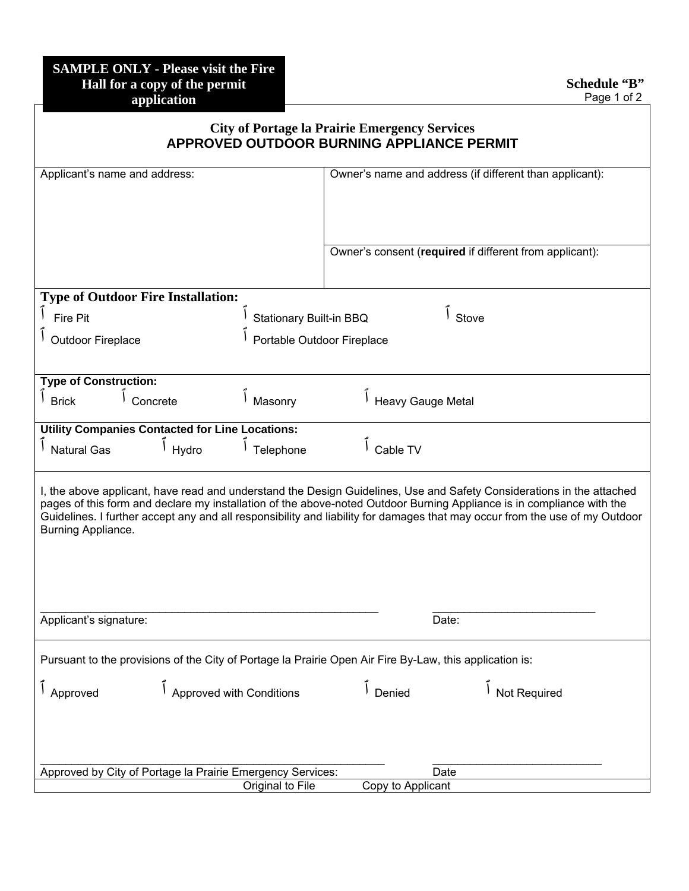|                                                                                                         | <b>City of Portage la Prairie Emergency Services</b><br><b>APPROVED OUTDOOR BURNING APPLIANCE PERMIT</b>                                                                                                                                                                                                                                                                      |
|---------------------------------------------------------------------------------------------------------|-------------------------------------------------------------------------------------------------------------------------------------------------------------------------------------------------------------------------------------------------------------------------------------------------------------------------------------------------------------------------------|
| Applicant's name and address:                                                                           | Owner's name and address (if different than applicant):                                                                                                                                                                                                                                                                                                                       |
|                                                                                                         | Owner's consent (required if different from applicant):                                                                                                                                                                                                                                                                                                                       |
| <b>Type of Outdoor Fire Installation:</b>                                                               |                                                                                                                                                                                                                                                                                                                                                                               |
| <b>Fire Pit</b>                                                                                         | Stationary Built-in BBQ<br>Stove                                                                                                                                                                                                                                                                                                                                              |
| <b>Outdoor Fireplace</b>                                                                                | Portable Outdoor Fireplace                                                                                                                                                                                                                                                                                                                                                    |
|                                                                                                         |                                                                                                                                                                                                                                                                                                                                                                               |
| <b>Type of Construction:</b>                                                                            |                                                                                                                                                                                                                                                                                                                                                                               |
| Concrete<br>Masonry<br><b>Brick</b>                                                                     | <b>Heavy Gauge Metal</b>                                                                                                                                                                                                                                                                                                                                                      |
| <b>Utility Companies Contacted for Line Locations:</b>                                                  |                                                                                                                                                                                                                                                                                                                                                                               |
| Hydro<br><b>Natural Gas</b><br>Telephone                                                                | Cable TV                                                                                                                                                                                                                                                                                                                                                                      |
| Burning Appliance.                                                                                      | I, the above applicant, have read and understand the Design Guidelines, Use and Safety Considerations in the attached<br>pages of this form and declare my installation of the above-noted Outdoor Burning Appliance is in compliance with the<br>Guidelines. I further accept any and all responsibility and liability for damages that may occur from the use of my Outdoor |
| Applicant's signature:                                                                                  | Date:                                                                                                                                                                                                                                                                                                                                                                         |
| Pursuant to the provisions of the City of Portage la Prairie Open Air Fire By-Law, this application is: |                                                                                                                                                                                                                                                                                                                                                                               |
| Approved with Conditions<br>Approved                                                                    | Not Required<br>Denied                                                                                                                                                                                                                                                                                                                                                        |
| Approved by City of Portage la Prairie Emergency Services:                                              | Date                                                                                                                                                                                                                                                                                                                                                                          |
| Original to File                                                                                        | Copy to Applicant                                                                                                                                                                                                                                                                                                                                                             |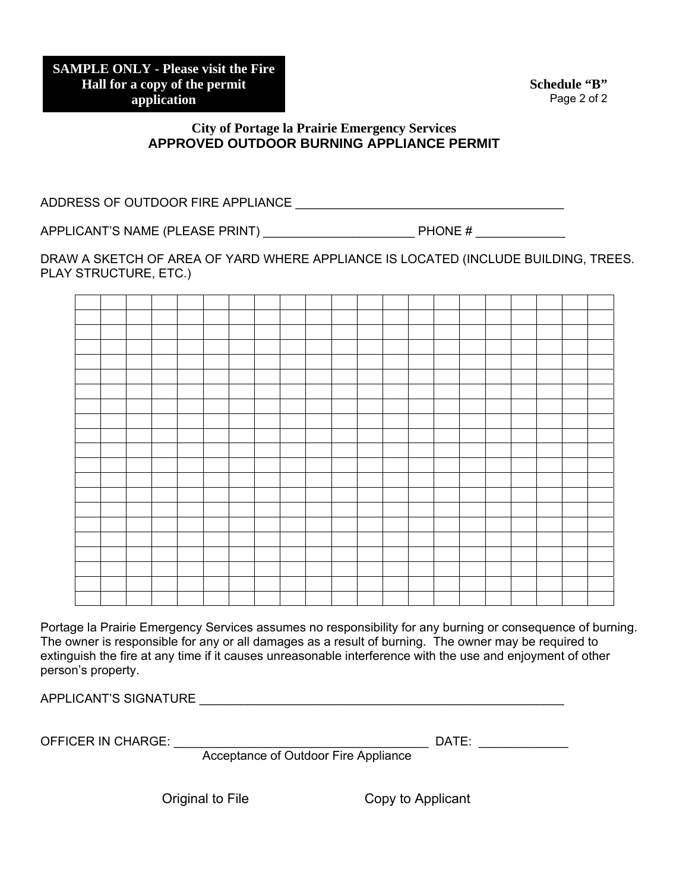**Schedule "B"** Page 2 of 2

### **City of Portage la Prairie Emergency Services APPROVED OUTDOOR BURNING APPLIANCE PERMIT**

ADDRESS OF OUTDOOR FIRE APPLIANCE \_\_\_\_\_\_\_\_\_\_\_\_\_\_\_\_\_\_\_\_\_\_\_\_\_\_\_\_\_\_\_\_\_\_\_\_\_\_\_

APPLICANT'S NAME (PLEASE PRINT) \_\_\_\_\_\_\_\_\_\_\_\_\_\_\_\_\_\_\_\_\_\_ PHONE # \_\_\_\_\_\_\_\_\_\_\_\_\_

DRAW A SKETCH OF AREA OF YARD WHERE APPLIANCE IS LOCATED (INCLUDE BUILDING, TREES. PLAY STRUCTURE, ETC.)

Portage la Prairie Emergency Services assumes no responsibility for any burning or consequence of burning. The owner is responsible for any or all damages as a result of burning. The owner may be required to extinguish the fire at any time if it causes unreasonable interference with the use and enjoyment of other person's property.

APPLICANT'S SIGNATURE \_\_\_\_\_\_\_\_\_\_\_\_\_\_\_\_\_\_\_\_\_\_\_\_\_\_\_\_\_\_\_\_\_\_\_\_\_\_\_\_\_\_\_\_\_\_\_\_\_\_\_\_\_

OFFICER IN CHARGE: \_\_\_\_\_\_\_\_\_\_\_\_\_\_\_\_\_\_\_\_\_\_\_\_\_\_\_\_\_\_\_\_\_\_\_\_\_ DATE: \_\_\_\_\_\_\_\_\_\_\_\_\_

Acceptance of Outdoor Fire Appliance

Original to File Copy to Applicant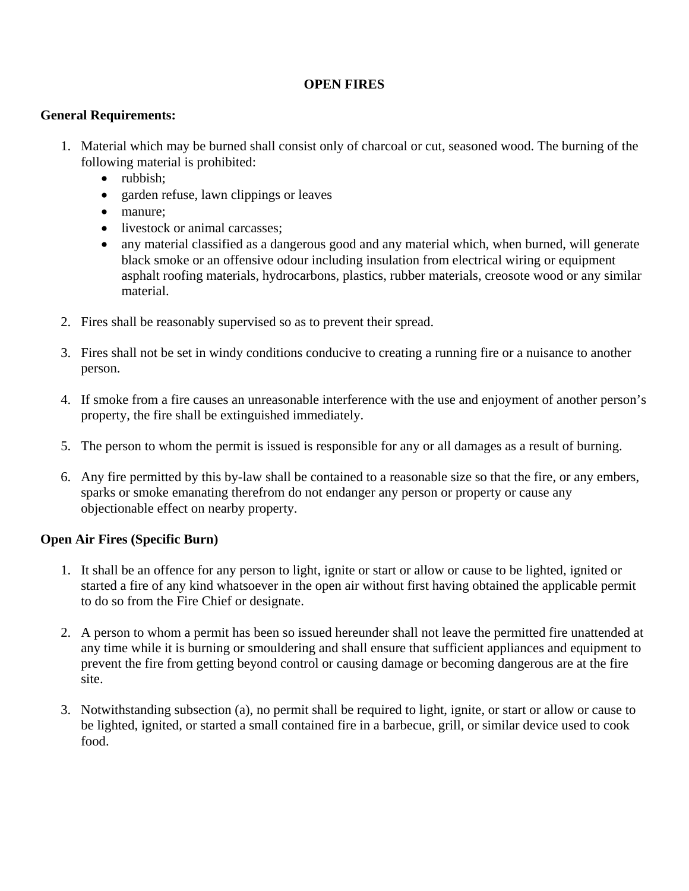## **OPEN FIRES**

### **General Requirements:**

- 1. Material which may be burned shall consist only of charcoal or cut, seasoned wood. The burning of the following material is prohibited:
	- rubbish;
	- garden refuse, lawn clippings or leaves
	- manure:
	- livestock or animal carcasses:
	- any material classified as a dangerous good and any material which, when burned, will generate black smoke or an offensive odour including insulation from electrical wiring or equipment asphalt roofing materials, hydrocarbons, plastics, rubber materials, creosote wood or any similar material.
- 2. Fires shall be reasonably supervised so as to prevent their spread.
- 3. Fires shall not be set in windy conditions conducive to creating a running fire or a nuisance to another person.
- 4. If smoke from a fire causes an unreasonable interference with the use and enjoyment of another person's property, the fire shall be extinguished immediately.
- 5. The person to whom the permit is issued is responsible for any or all damages as a result of burning.
- 6. Any fire permitted by this by-law shall be contained to a reasonable size so that the fire, or any embers, sparks or smoke emanating therefrom do not endanger any person or property or cause any objectionable effect on nearby property.

# **Open Air Fires (Specific Burn)**

- 1. It shall be an offence for any person to light, ignite or start or allow or cause to be lighted, ignited or started a fire of any kind whatsoever in the open air without first having obtained the applicable permit to do so from the Fire Chief or designate.
- 2. A person to whom a permit has been so issued hereunder shall not leave the permitted fire unattended at any time while it is burning or smouldering and shall ensure that sufficient appliances and equipment to prevent the fire from getting beyond control or causing damage or becoming dangerous are at the fire site.
- 3. Notwithstanding subsection (a), no permit shall be required to light, ignite, or start or allow or cause to be lighted, ignited, or started a small contained fire in a barbecue, grill, or similar device used to cook food.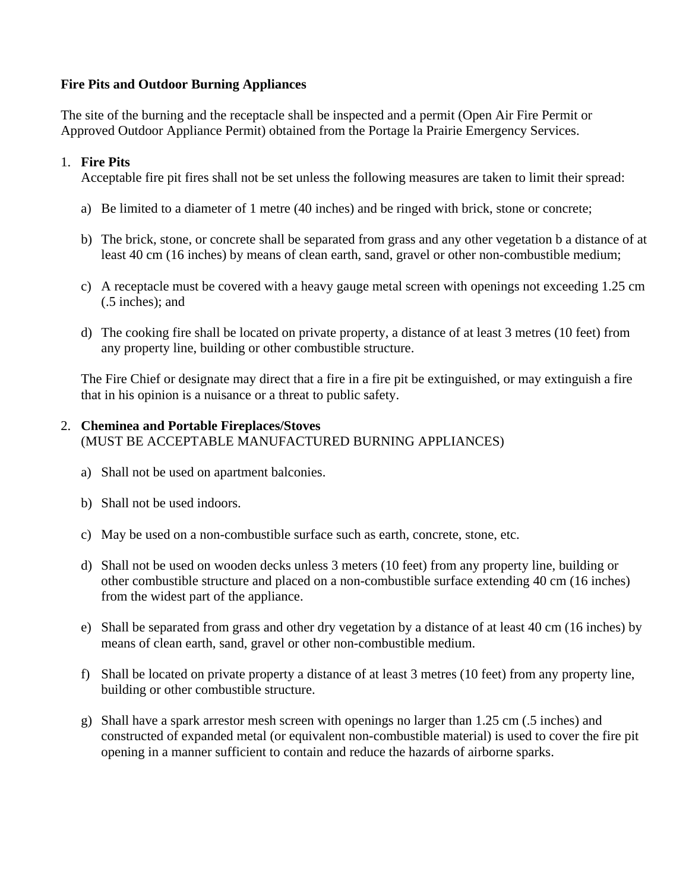## **Fire Pits and Outdoor Burning Appliances**

The site of the burning and the receptacle shall be inspected and a permit (Open Air Fire Permit or Approved Outdoor Appliance Permit) obtained from the Portage la Prairie Emergency Services.

### 1. **Fire Pits**

Acceptable fire pit fires shall not be set unless the following measures are taken to limit their spread:

- a) Be limited to a diameter of 1 metre (40 inches) and be ringed with brick, stone or concrete;
- b) The brick, stone, or concrete shall be separated from grass and any other vegetation b a distance of at least 40 cm (16 inches) by means of clean earth, sand, gravel or other non-combustible medium;
- c) A receptacle must be covered with a heavy gauge metal screen with openings not exceeding 1.25 cm (.5 inches); and
- d) The cooking fire shall be located on private property, a distance of at least 3 metres (10 feet) from any property line, building or other combustible structure.

The Fire Chief or designate may direct that a fire in a fire pit be extinguished, or may extinguish a fire that in his opinion is a nuisance or a threat to public safety.

### 2. **Cheminea and Portable Fireplaces/Stoves**

(MUST BE ACCEPTABLE MANUFACTURED BURNING APPLIANCES)

- a) Shall not be used on apartment balconies.
- b) Shall not be used indoors.
- c) May be used on a non-combustible surface such as earth, concrete, stone, etc.
- d) Shall not be used on wooden decks unless 3 meters (10 feet) from any property line, building or other combustible structure and placed on a non-combustible surface extending 40 cm (16 inches) from the widest part of the appliance.
- e) Shall be separated from grass and other dry vegetation by a distance of at least 40 cm (16 inches) by means of clean earth, sand, gravel or other non-combustible medium.
- f) Shall be located on private property a distance of at least 3 metres (10 feet) from any property line, building or other combustible structure.
- g) Shall have a spark arrestor mesh screen with openings no larger than 1.25 cm (.5 inches) and constructed of expanded metal (or equivalent non-combustible material) is used to cover the fire pit opening in a manner sufficient to contain and reduce the hazards of airborne sparks.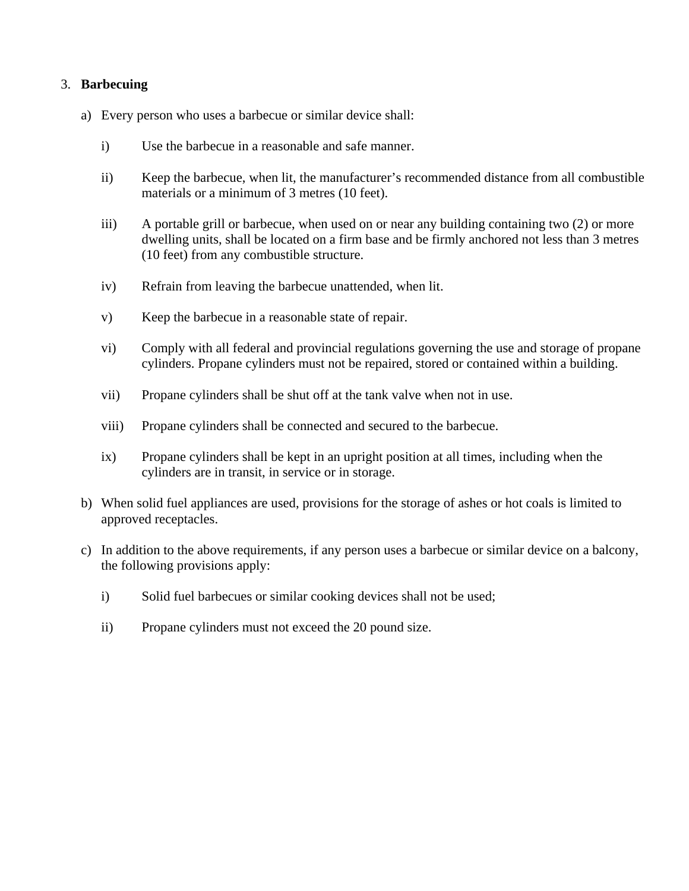## 3. **Barbecuing**

- a) Every person who uses a barbecue or similar device shall:
	- i) Use the barbecue in a reasonable and safe manner.
	- ii) Keep the barbecue, when lit, the manufacturer's recommended distance from all combustible materials or a minimum of 3 metres (10 feet).
	- iii) A portable grill or barbecue, when used on or near any building containing two (2) or more dwelling units, shall be located on a firm base and be firmly anchored not less than 3 metres (10 feet) from any combustible structure.
	- iv) Refrain from leaving the barbecue unattended, when lit.
	- v) Keep the barbecue in a reasonable state of repair.
	- vi) Comply with all federal and provincial regulations governing the use and storage of propane cylinders. Propane cylinders must not be repaired, stored or contained within a building.
	- vii) Propane cylinders shall be shut off at the tank valve when not in use.
	- viii) Propane cylinders shall be connected and secured to the barbecue.
	- ix) Propane cylinders shall be kept in an upright position at all times, including when the cylinders are in transit, in service or in storage.
- b) When solid fuel appliances are used, provisions for the storage of ashes or hot coals is limited to approved receptacles.
- c) In addition to the above requirements, if any person uses a barbecue or similar device on a balcony, the following provisions apply:
	- i) Solid fuel barbecues or similar cooking devices shall not be used;
	- ii) Propane cylinders must not exceed the 20 pound size.